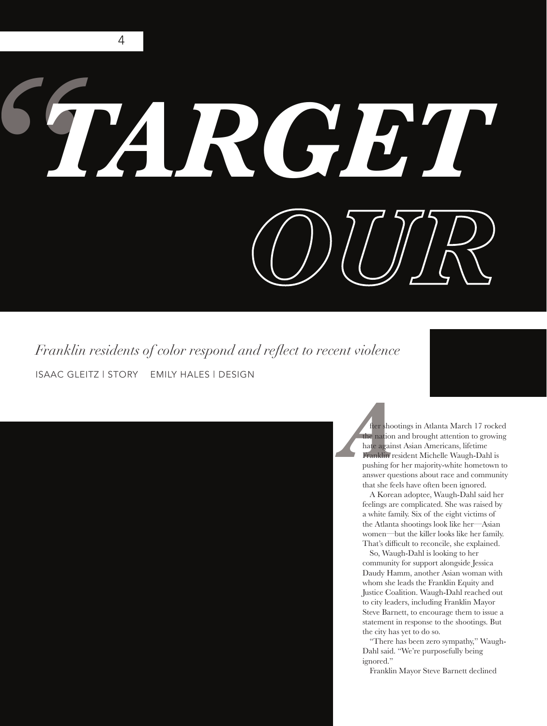## *" TARGET OUR*

ISAAC GLEITZ | STORY EMILY HALES | DESIGN *Franklin residents of color respond and reflect to recent violence* 

*A* fter shootings in Atlanta March 17 rocked the nation and brought attention to growing hate against Asian Americans, lifetime Franklin resident Michelle Waugh-Dahl is pushing for her majority-white hometown to answer questions about race and community that she feels have often been ignored.

> A Korean adoptee, Waugh-Dahl said her feelings are complicated. She was raised by a white family. Six of the eight victims of the Atlanta shootings look like her—Asian women—but the killer looks like her family. That's difficult to reconcile, she explained.

> So, Waugh-Dahl is looking to her community for support alongside Jessica Daudy Hamm, another Asian woman with whom she leads the Franklin Equity and Justice Coalition. Waugh-Dahl reached out to city leaders, including Franklin Mayor Steve Barnett, to encourage them to issue a statement in response to the shootings. But the city has yet to do so.

"There has been zero sympathy," Waugh-Dahl said. "We're purposefully being ignored."

Franklin Mayor Steve Barnett declined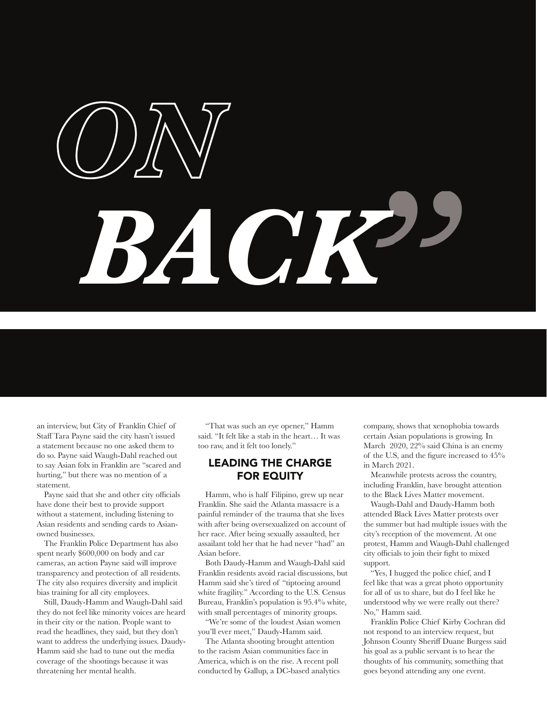# *ON OUR BACK"*

an interview, but City of Franklin Chief of Staff Tara Payne said the city hasn't issued a statement because no one asked them to do so. Payne said Waugh-Dahl reached out to say Asian folx in Franklin are "scared and hurting," but there was no mention of a statement.

Payne said that she and other city officials have done their best to provide support without a statement, including listening to Asian residents and sending cards to Asianowned businesses.

The Franklin Police Department has also spent nearly \$600,000 on body and car cameras, an action Payne said will improve transparency and protection of all residents. The city also requires diversity and implicit bias training for all city employees.

Still, Daudy-Hamm and Waugh-Dahl said they do not feel like minority voices are heard in their city or the nation. People want to read the headlines, they said, but they don't want to address the underlying issues. Daudy-Hamm said she had to tune out the media coverage of the shootings because it was threatening her mental health.

"That was such an eye opener," Hamm said. "It felt like a stab in the heart… It was too raw, and it felt too lonely."

## LEADING THE CHARGE FOR EQUITY

Hamm, who is half Filipino, grew up near Franklin. She said the Atlanta massacre is a painful reminder of the trauma that she lives with after being oversexualized on account of her race. After being sexually assaulted, her assailant told her that he had never "had" an Asian before.

Both Daudy-Hamm and Waugh-Dahl said Franklin residents avoid racial discussions, but Hamm said she's tired of "tiptoeing around white fragility." According to the U.S. Census Bureau, Franklin's population is 95.4% white, with small percentages of minority groups.

"We're some of the loudest Asian women you'll ever meet," Daudy-Hamm said.

The Atlanta shooting brought attention to the racism Asian communities face in America, which is on the rise. A recent poll conducted by Gallup, a DC-based analytics company, shows that xenophobia towards certain Asian populations is growing. In March 2020, 22% said China is an enemy of the U.S, and the figure increased to  $45\%$ in March 2021.

Meanwhile protests across the country, including Franklin, have brought attention to the Black Lives Matter movement.

Waugh-Dahl and Daudy-Hamm both attended Black Lives Matter protests over the summer but had multiple issues with the city's reception of the movement. At one protest, Hamm and Waugh-Dahl challenged city officials to join their fight to mixed support.

"Yes, I hugged the police chief, and I feel like that was a great photo opportunity for all of us to share, but do I feel like he understood why we were really out there? No," Hamm said.

Franklin Police Chief Kirby Cochran did not respond to an interview request, but Johnson County Sheriff Duane Burgess said his goal as a public servant is to hear the thoughts of his community, something that goes beyond attending any one event.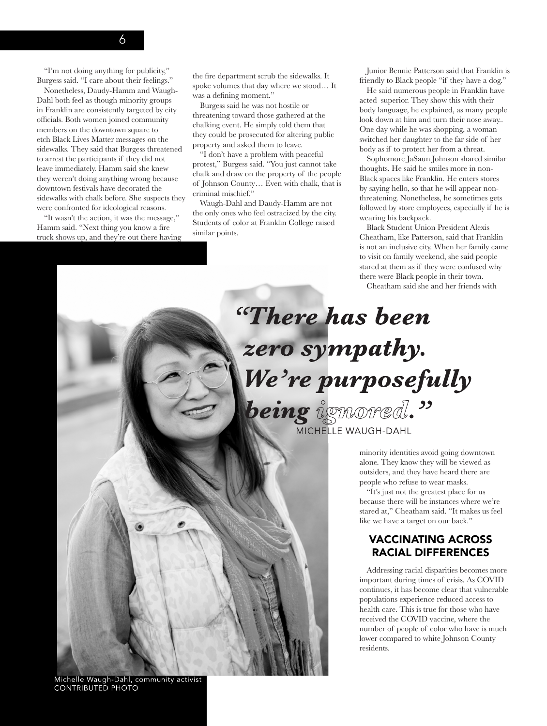#### "I'm not doing anything for publicity," Burgess said. "I care about their feelings."

Nonetheless, Daudy-Hamm and Waugh-Dahl both feel as though minority groups in Franklin are consistently targeted by city officials. Both women joined community members on the downtown square to etch Black Lives Matter messages on the sidewalks. They said that Burgess threatened to arrest the participants if they did not leave immediately. Hamm said she knew they weren't doing anything wrong because downtown festivals have decorated the sidewalks with chalk before. She suspects they were confronted for ideological reasons.

"It wasn't the action, it was the message," Hamm said. "Next thing you know a fire truck shows up, and they're out there having the fire department scrub the sidewalks. It spoke volumes that day where we stood… It was a defining moment."

Burgess said he was not hostile or threatening toward those gathered at the chalking event. He simply told them that they could be prosecuted for altering public property and asked them to leave.

"I don't have a problem with peaceful protest," Burgess said. "You just cannot take chalk and draw on the property of the people of Johnson County… Even with chalk, that is criminal mischief."

Waugh-Dahl and Daudy-Hamm are not the only ones who feel ostracized by the city. Students of color at Franklin College raised similar points.

Junior Bennie Patterson said that Franklin is friendly to Black people "if they have a dog."

He said numerous people in Franklin have acted superior. They show this with their body language, he explained, as many people look down at him and turn their nose away.. One day while he was shopping, a woman switched her daughter to the far side of her body as if to protect her from a threat.

Sophomore JaSaun Johnson shared similar thoughts. He said he smiles more in non-Black spaces like Franklin. He enters stores by saying hello, so that he will appear nonthreatening. Nonetheless, he sometimes gets followed by store employees, especially if he is wearing his backpack.

Black Student Union President Alexis Cheatham, like Patterson, said that Franklin is not an inclusive city. When her family came to visit on family weekend, she said people stared at them as if they were confused why there were Black people in their town.

Cheatham said she and her friends with

## "There has been zero sympathy. We're purposefully being ignored." MICHELLE WAUGH-DAHL

minority identities avoid going downtown alone. They know they will be viewed as outsiders, and they have heard there are people who refuse to wear masks.

"It's just not the greatest place for us because there will be instances where we're stared at," Cheatham said. "It makes us feel like we have a target on our back."

## VACCINATING ACROSS RACIAL DIFFERENCES

Addressing racial disparities becomes more important during times of crisis. As COVID continues, it has become clear that vulnerable populations experience reduced access to health care. This is true for those who have received the COVID vaccine, where the number of people of color who have is much lower compared to white Johnson County residents.

Michelle Waugh-Dahl, community activist **CONTRIBUTED PHOTO**